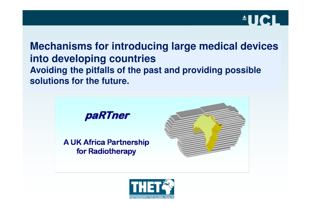

**Mechanisms for introducing large medical devices into developing countries Avoiding the pitfalls of the past and providing possible solutions for the future.**



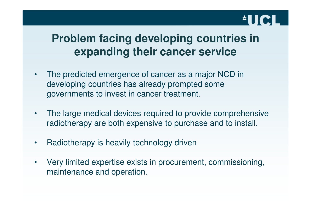# **AUCL**

### **Problem facing developing countries in expanding their cancer service**

- • The predicted emergence of cancer as a major NCD in developing countries has already prompted some governments to invest in cancer treatment.
- $\bullet$  The large medical devices required to provide comprehensive radiotherapy are both expensive to purchase and to install.
- •Radiotherapy is heavily technology driven
- $\bullet$  Very limited expertise exists in procurement, commissioning, maintenance and operation.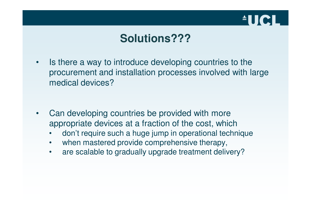

#### **Solutions???**

- • Is there a way to introduce developing countries to the procurement and installation processes involved with large medical devices?
- • Can developing countries be provided with more appropriate devices at a fraction of the cost, which
	- don't require such a huge jump in operational technique•
	- •when mastered provide comprehensive therapy,
	- $\bullet$ are scalable to gradually upgrade treatment delivery?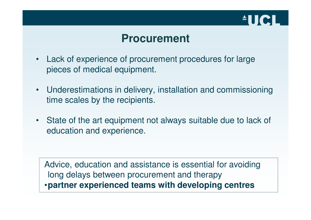

#### **Procurement**

- Lack of experience of procurement procedures for large pieces of medical equipment.
- Underestimations in delivery, installation and commissioning time scales by the recipients.
- State of the art equipment not always suitable due to lack of education and experience.

Advice, education and assistance is essential for avoiding long delays between procurement and therapy•**partner experienced teams with developing centres**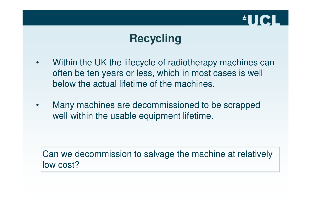

### **Recycling**

- • Within the UK the lifecycle of radiotherapy machines can often be ten years or less, which in most cases is well below the actual lifetime of the machines.
- $\bullet$  Many machines are decommissioned to be scrapped well within the usable equipment lifetime.

Can we decommission to salvage the machine at relativelylow cost?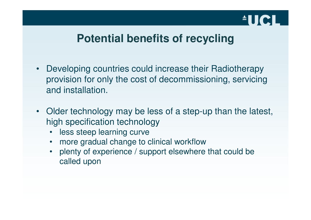# **AUCL**

#### **Potential benefits of recycling**

- Developing countries could increase their Radiotherapy provision for only the cost of decommissioning, servicing and installation.
- Older technology may be less of a step-up than the latest, high specification technology
	- •less steep learning curve
	- more gradual change to clinical workflow•
	- plenty of experience / support elsewhere that could be•called upon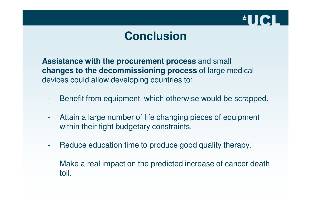

### **Conclusion**

**Assistance with the procurement process** and small **changes to the decommissioning process** of large medical devices could allow developing countries to:

- -Benefit from equipment, which otherwise would be scrapped.
- - Attain a large number of life changing pieces of equipment within their tight budgetary constraints.
- -Reduce education time to produce good quality therapy.
- - Make a real impact on the predicted increase of cancer death toll.